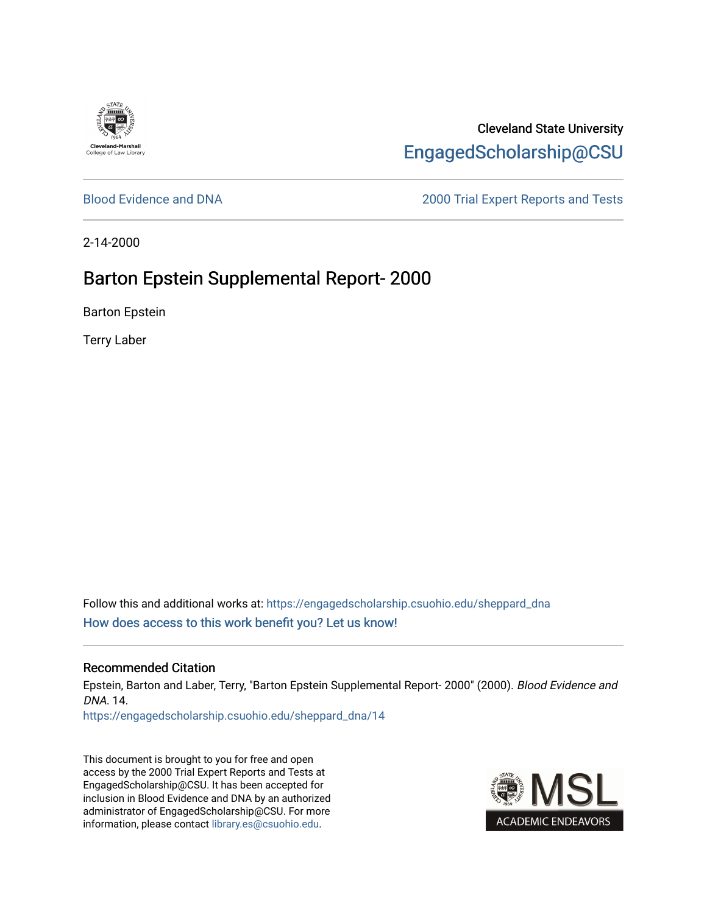

Cleveland State University [EngagedScholarship@CSU](https://engagedscholarship.csuohio.edu/) 

[Blood Evidence and DNA](https://engagedscholarship.csuohio.edu/sheppard_dna) [2000 Trial Expert Reports and Tests](https://engagedscholarship.csuohio.edu/sheppard_experts) 

2-14-2000

# Barton Epstein Supplemental Report- 2000

Barton Epstein

Terry Laber

Follow this and additional works at: [https://engagedscholarship.csuohio.edu/sheppard\\_dna](https://engagedscholarship.csuohio.edu/sheppard_dna?utm_source=engagedscholarship.csuohio.edu%2Fsheppard_dna%2F14&utm_medium=PDF&utm_campaign=PDFCoverPages)  [How does access to this work benefit you? Let us know!](http://library.csuohio.edu/engaged/)

#### Recommended Citation

Epstein, Barton and Laber, Terry, "Barton Epstein Supplemental Report- 2000" (2000). Blood Evidence and DNA. 14.

[https://engagedscholarship.csuohio.edu/sheppard\\_dna/14](https://engagedscholarship.csuohio.edu/sheppard_dna/14?utm_source=engagedscholarship.csuohio.edu%2Fsheppard_dna%2F14&utm_medium=PDF&utm_campaign=PDFCoverPages)

This document is brought to you for free and open access by the 2000 Trial Expert Reports and Tests at EngagedScholarship@CSU. It has been accepted for inclusion in Blood Evidence and DNA by an authorized administrator of EngagedScholarship@CSU. For more information, please contact [library.es@csuohio.edu](mailto:library.es@csuohio.edu).

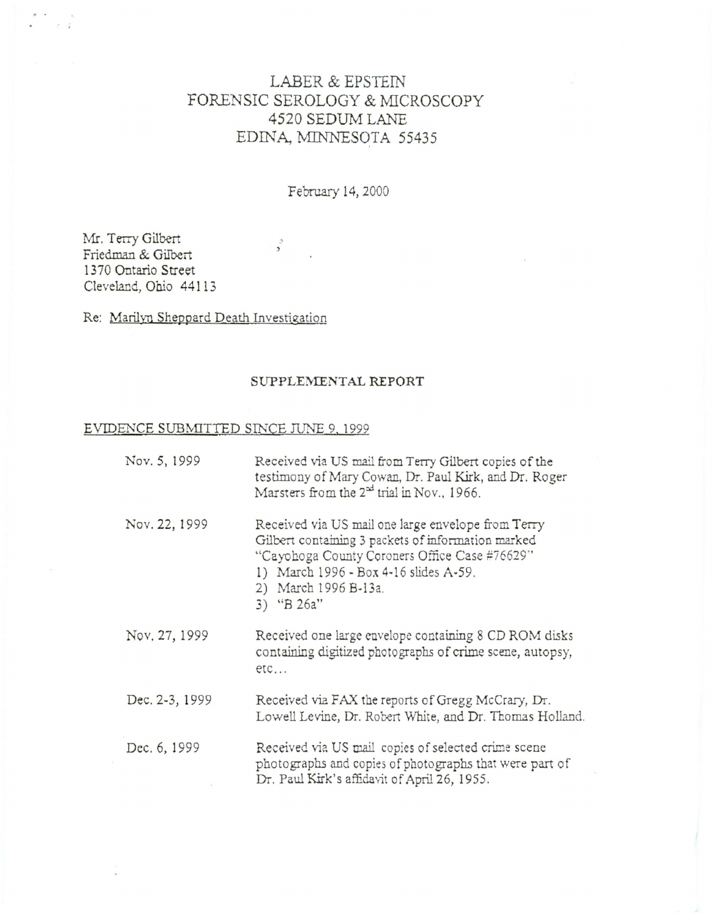# LABER & EPSTEIN FORENSIC SEROLOGY & MICROSCOPY 4520 SEDUM LANE EDINA, MINNESOTA 55435

February 14, 2000

 $\frac{3}{2}$ 

Mr. Terry Gilbert Friedman & Gilbert 1370 Ontario Street Cleveland, Ohio 44113

 $\vec{r}$   $\vec{q}$ 

Re: Marilyn Sheppard Death Investigation

#### SUPPLEMENTAL REPORT

## EVIDENCE SUBMITTED SINCE JUNE 9, 1999

| Nov. 5, 1999   | Received via US mail from Terry Gilbert copies of the<br>testimony of Mary Cowan, Dr. Paul Kirk, and Dr. Roger<br>Marsters from the 2 <sup>xd</sup> trial in Nov., 1966.                                                                    |
|----------------|---------------------------------------------------------------------------------------------------------------------------------------------------------------------------------------------------------------------------------------------|
| Nov. 22, 1999  | Received via US mail one large envelope from Terry<br>Gilbert containing 3 packets of information marked<br>"Cayohoga County Coroners Office Case #76629"<br>1) March 1996 - Box 4-16 slides A-59.<br>2) March 1996 B-13a.<br>3) "B $26a$ " |
| Nov. 27, 1999  | Received one large envelope containing 8 CD ROM disks<br>containing digitized photographs of crime scene, autopsy,<br>$etc.$                                                                                                                |
| Dec. 2-3, 1999 | Received via FAX the reports of Gregg McCrary, Dr.<br>Lowell Levine, Dr. Robert White, and Dr. Thomas Holland.                                                                                                                              |
| Dec. 6, 1999   | Received via US mail copies of selected crime scene<br>photographs and copies of photographs that were part of<br>Dr. Paul Kirk's affidavit of April 26, 1955.                                                                              |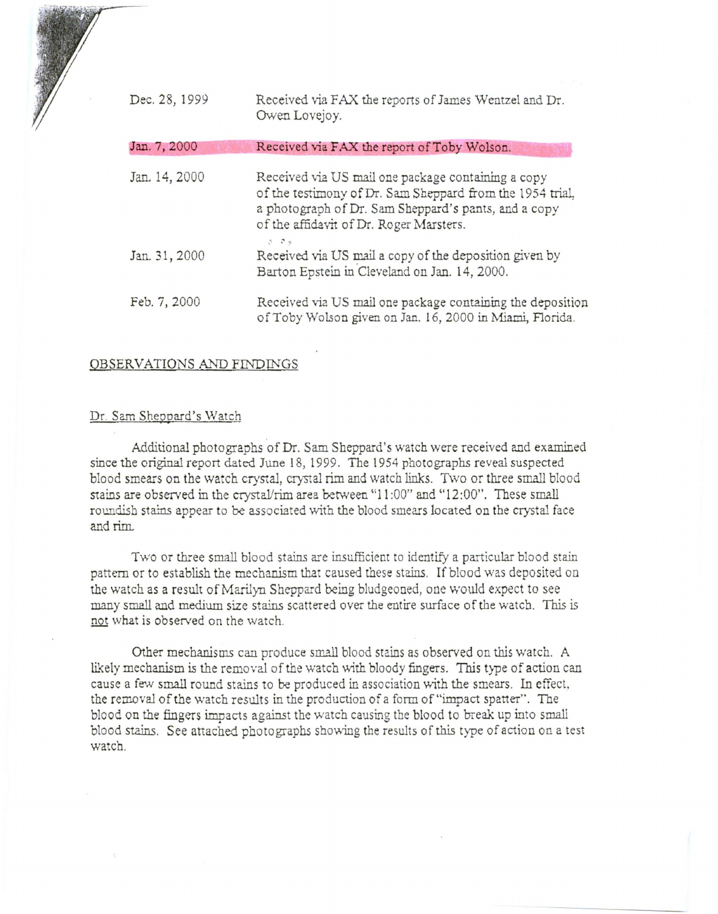| Dec. 28, 1999 | Received via FAX the reports of James Wentzel and Dr.<br>Owen Lovejoy.                                                                                                                                                          |
|---------------|---------------------------------------------------------------------------------------------------------------------------------------------------------------------------------------------------------------------------------|
| Jan. 7, 2000  | Received via FAX the report of Toby Wolson.                                                                                                                                                                                     |
| Jan. 14, 2000 | Received via US mail one package containing a copy<br>of the testimony of Dr. Sam Sheppard from the 1954 trial,<br>a photograph of Dr. Sam Sheppard's pants, and a copy<br>of the affidavit of Dr. Roger Marsters.<br>$5 - 7 +$ |
| Jan. 31, 2000 | Received via US mail a copy of the deposition given by<br>Barton Epstein in Cleveland on Jan. 14, 2000.                                                                                                                         |
| Feb. 7, 2000  | Received via US mail one package containing the deposition<br>of Toby Wolson given on Jan. 16, 2000 in Miami, Florida.                                                                                                          |

## OBSERVATIONS AND FINDINGS

#### Dr. Sam Sheppard's Watch

Additional photographs of Dr. Sam Sheppard's watch were received and examined since the original report dated June 18, 1999. The 1954 photographs reveal suspected blood smears on the watch crystal, crystal rim and watch links. Two or three small blood stains are observed in the crystal/rim area between "11:00" and "12:00". These small roundish stains appear to be associated with the blood smears located on the crystal face and rim.

Two or three small blood stains are insufficient to identify a particular blood stain pattern or to establish the mechanism that caused these stains. If blood was deposited on the watch as a result of Marilyn Sheppard being bludgeoned, one would expect to see many small and medium size stains scattered over the entire surface of the watch. *This* is not what is observed on the watch.

Other mechanisms can produce small blood stains as observed on this watch. A likely mechanism is the removal of the watch with bloody fingers. This type of action can cause a few small round stains to be produced in association \lrith the smears. In effect, the removal of the watch results in the production of a form of"impact spatter" . The blood on the fingers impacts against the watch causing the blood to break up into small blood stains. See attached photo graphs showing the results of this type of action on a test watch.